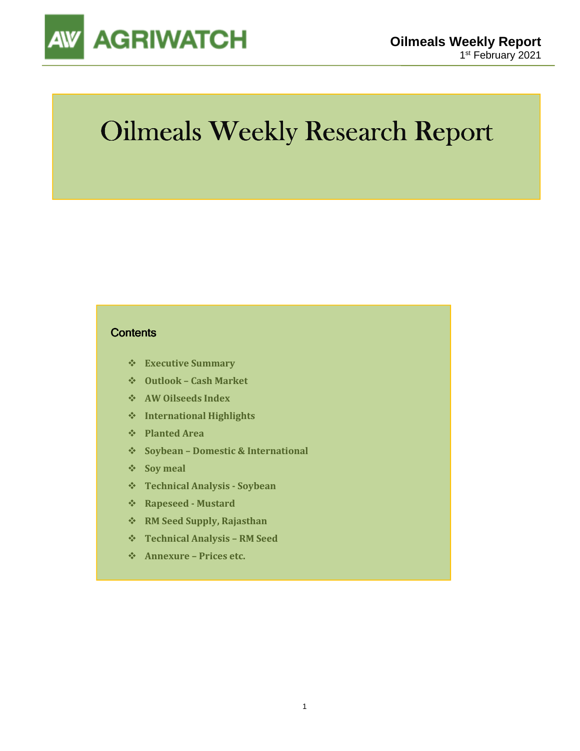

# Oilmeals Weekly Research Report

### **Contents**

- **Executive Summary**
- **Outlook Cash Market**
- **AW Oilseeds Index**
- **International Highlights**
- **Planted Area**
- **Soybean Domestic & International**
- **Soy meal**
- **Technical Analysis Soybean**
- **Rapeseed Mustard**
- **RM Seed Supply, Rajasthan**
- **Technical Analysis RM Seed**
- **Annexure Prices etc.**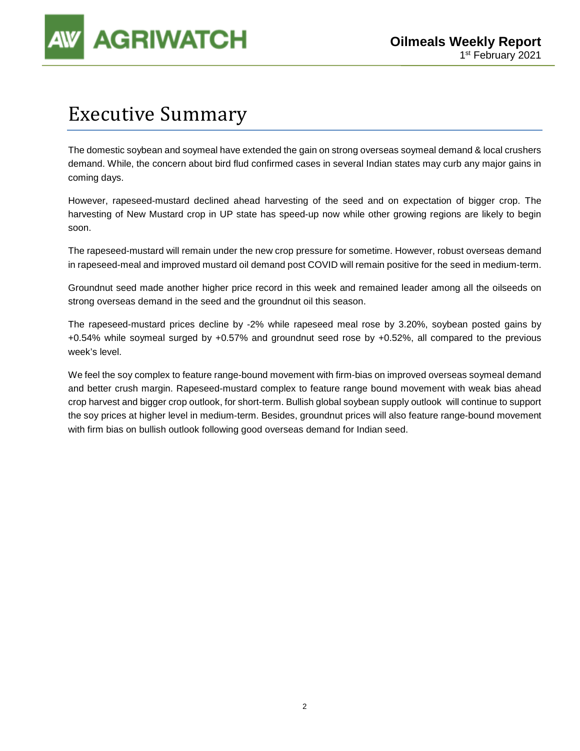

## Executive Summary

The domestic soybean and soymeal have extended the gain on strong overseas soymeal demand & local crushers demand. While, the concern about bird flud confirmed cases in several Indian states may curb any major gains in coming days.

However, rapeseed-mustard declined ahead harvesting of the seed and on expectation of bigger crop. The harvesting of New Mustard crop in UP state has speed-up now while other growing regions are likely to begin soon.

The rapeseed-mustard will remain under the new crop pressure for sometime. However, robust overseas demand in rapeseed-meal and improved mustard oil demand post COVID will remain positive for the seed in medium-term.

Groundnut seed made another higher price record in this week and remained leader among all the oilseeds on strong overseas demand in the seed and the groundnut oil this season.

The rapeseed-mustard prices decline by -2% while rapeseed meal rose by 3.20%, soybean posted gains by +0.54% while soymeal surged by +0.57% and groundnut seed rose by +0.52%, all compared to the previous week's level.

We feel the soy complex to feature range-bound movement with firm-bias on improved overseas soymeal demand and better crush margin. Rapeseed-mustard complex to feature range bound movement with weak bias ahead crop harvest and bigger crop outlook, for short-term. Bullish global soybean supply outlook will continue to support the soy prices at higher level in medium-term. Besides, groundnut prices will also feature range-bound movement with firm bias on bullish outlook following good overseas demand for Indian seed.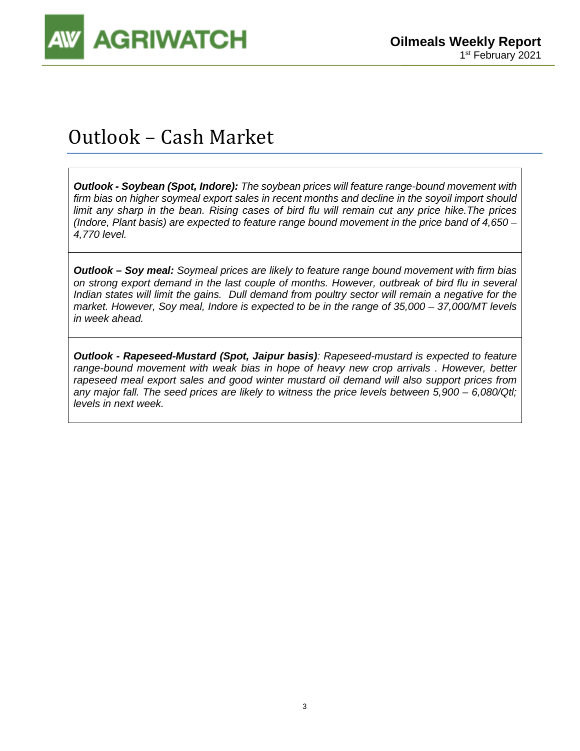

# Outlook – Cash Market

**Outlook - Soybean (Spot, Indore):** The soybean prices will feature range-bound movement with firm bias on higher soymeal export sales in recent months and decline in the soyoil import should limit any sharp in the bean. Rising cases of bird flu will remain cut any price hike.The prices (Indore, Plant basis) are expected to feature range bound movement in the price band of 4,650 – 4,770 level.

**Outlook – Soy meal:** Soymeal prices are likely to feature range bound movement with firm bias on strong export demand in the last couple of months. However, outbreak of bird flu in several Indian states will limit the gains. Dull demand from poultry sector will remain a negative for the market. However, Soy meal, Indore is expected to be in the range of 35,000 – 37,000/MT levels in week ahead.

**Outlook - Rapeseed-Mustard (Spot, Jaipur basis)**: Rapeseed-mustard is expected to feature range-bound movement with weak bias in hope of heavy new crop arrivals . However, better rapeseed meal export sales and good winter mustard oil demand will also support prices from any major fall. The seed prices are likely to witness the price levels between 5,900 – 6,080/Qtl; levels in next week.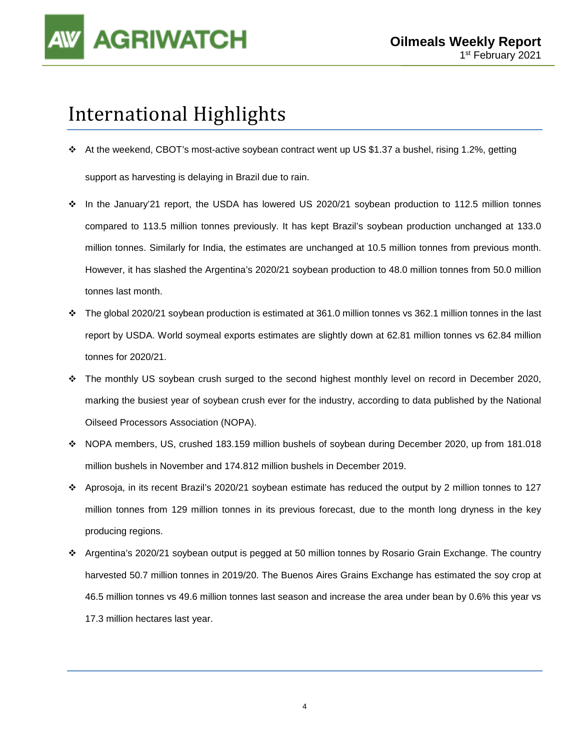

# International Highlights

- At the weekend, CBOT's most-active soybean contract went up US \$1.37 a bushel, rising 1.2%, getting support as harvesting is delaying in Brazil due to rain.
- In the January'21 report, the USDA has lowered US 2020/21 soybean production to 112.5 million tonnes compared to 113.5 million tonnes previously. It has kept Brazil's soybean production unchanged at 133.0 million tonnes. Similarly for India, the estimates are unchanged at 10.5 million tonnes from previous month. However, it has slashed the Argentina's 2020/21 soybean production to 48.0 million tonnes from 50.0 million tonnes last month.
- $\cdot \cdot$  The global 2020/21 soybean production is estimated at 361.0 million tonnes vs 362.1 million tonnes in the last report by USDA. World soymeal exports estimates are slightly down at 62.81 million tonnes vs 62.84 million tonnes for 2020/21.
- The monthly US soybean crush surged to the second highest monthly level on record in December 2020, marking the busiest year of soybean crush ever for the industry, according to data published by the National Oilseed Processors Association (NOPA).
- NOPA members, US, crushed 183.159 million bushels of soybean during December 2020, up from 181.018 million bushels in November and 174.812 million bushels in December 2019.
- Aprosoja, in its recent Brazil's 2020/21 soybean estimate has reduced the output by 2 million tonnes to 127 million tonnes from 129 million tonnes in its previous forecast, due to the month long dryness in the key producing regions.
- Argentina's 2020/21 soybean output is pegged at 50 million tonnes by Rosario Grain Exchange. The country harvested 50.7 million tonnes in 2019/20. The Buenos Aires Grains Exchange has estimated the soy crop at 46.5 million tonnes vs 49.6 million tonnes last season and increase the area under bean by 0.6% this year vs 17.3 million hectares last year.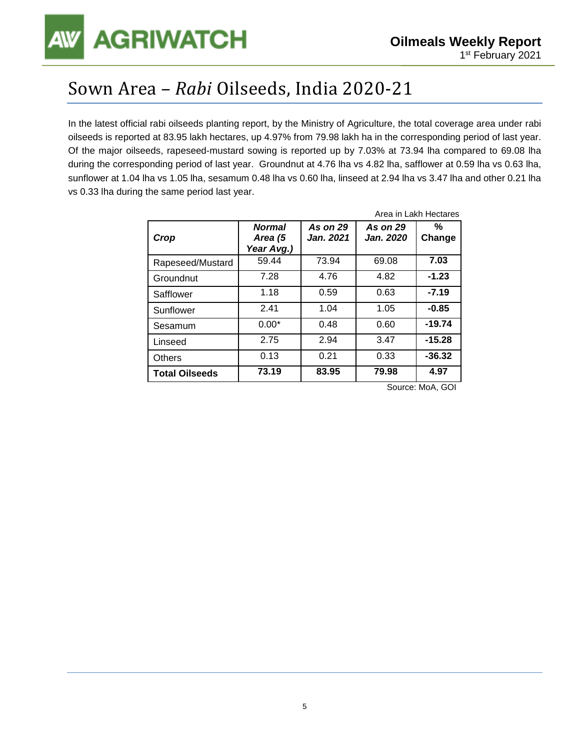## Sown Area – *Rabi* Oilseeds, India 2020-21

In the latest official rabi oilseeds planting report, by the Ministry of Agriculture, the total coverage area under rabi oilseeds is reported at 83.95 lakh hectares, up 4.97% from 79.98 lakh ha in the corresponding period of last year. Of the major oilseeds, rapeseed-mustard sowing is reported up by 7.03% at 73.94 lha compared to 69.08 lha during the corresponding period of last year. Groundnut at 4.76 lha vs 4.82 lha, safflower at 0.59 lha vs 0.63 lha, sunflower at 1.04 lha vs 1.05 lha, sesamum 0.48 lha vs 0.60 lha, linseed at 2.94 lha vs 3.47 lha and other 0.21 lha vs 0.33 lha during the same period last year.

| Crop                  | <b>Normal</b><br>Area (5<br>Year Avg.) | <b>As on 29</b><br><b>Jan. 2021</b> | <b>As on 29</b><br><b>Jan. 2020</b> | %<br>Change |
|-----------------------|----------------------------------------|-------------------------------------|-------------------------------------|-------------|
| Rapeseed/Mustard      | 59.44                                  | 73.94                               | 69.08                               | 7.03        |
| Groundnut             | 7.28                                   | 4.76                                | 4.82                                | $-1.23$     |
| Safflower             | 1.18                                   | 0.59                                | 0.63                                | $-7.19$     |
| Sunflower             | 2.41                                   | 1.04                                | 1.05                                | $-0.85$     |
| Sesamum               | $0.00*$                                | 0.48                                | 0.60                                | $-19.74$    |
| Linseed               | 2.75                                   | 2.94                                | 3.47                                | $-15.28$    |
| <b>Others</b>         | 0.13                                   | 0.21                                | 0.33                                | $-36.32$    |
| <b>Total Oilseeds</b> | 73.19                                  | 83.95                               | 79.98                               | 4.97        |

Source: MoA, GOI

Area in Lakh Hectares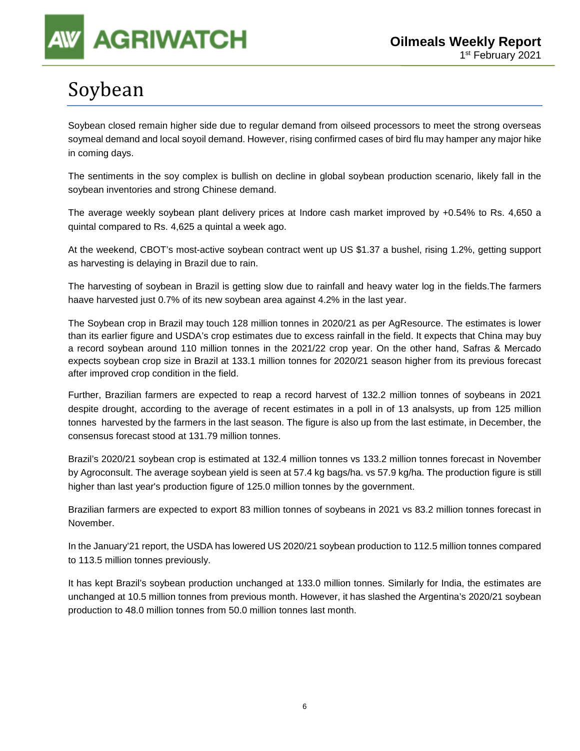# Soybean

Soybean closed remain higher side due to regular demand from oilseed processors to meet the strong overseas soymeal demand and local soyoil demand. However, rising confirmed cases of bird flu may hamper any major hike in coming days.

The sentiments in the soy complex is bullish on decline in global soybean production scenario, likely fall in the soybean inventories and strong Chinese demand.

The average weekly soybean plant delivery prices at Indore cash market improved by +0.54% to Rs. 4,650 a quintal compared to Rs. 4,625 a quintal a week ago.

At the weekend, CBOT's most-active soybean contract went up US \$1.37 a bushel, rising 1.2%, getting support as harvesting is delaying in Brazil due to rain.

The harvesting of soybean in Brazil is getting slow due to rainfall and heavy water log in the fields.The farmers haave harvested just 0.7% of its new soybean area against 4.2% in the last year.

The Soybean crop in Brazil may touch 128 million tonnes in 2020/21 as per AgResource. The estimates is lower than its earlier figure and USDA's crop estimates due to excess rainfall in the field. It expects that China may buy a record soybean around 110 million tonnes in the 2021/22 crop year. On the other hand, Safras & Mercado expects soybean crop size in Brazil at 133.1 million tonnes for 2020/21 season higher from its previous forecast after improved crop condition in the field.

Further, Brazilian farmers are expected to reap a record harvest of 132.2 million tonnes of soybeans in 2021 despite drought, according to the average of recent estimates in a poll in of 13 analsysts, up from 125 million tonnes harvested by the farmers in the last season. The figure is also up from the last estimate, in December, the consensus forecast stood at 131.79 million tonnes.

Brazil's 2020/21 soybean crop is estimated at 132.4 million tonnes vs 133.2 million tonnes forecast in November by Agroconsult. The average soybean yield is seen at 57.4 kg bags/ha. vs 57.9 kg/ha. The production figure is still higher than last year's production figure of 125.0 million tonnes by the government.

Brazilian farmers are expected to export 83 million tonnes of soybeans in 2021 vs 83.2 million tonnes forecast in November.

In the January'21 report, the USDA has lowered US 2020/21 soybean production to 112.5 million tonnes compared to 113.5 million tonnes previously.

It has kept Brazil's soybean production unchanged at 133.0 million tonnes. Similarly for India, the estimates are unchanged at 10.5 million tonnes from previous month. However, it has slashed the Argentina's 2020/21 soybean production to 48.0 million tonnes from 50.0 million tonnes last month.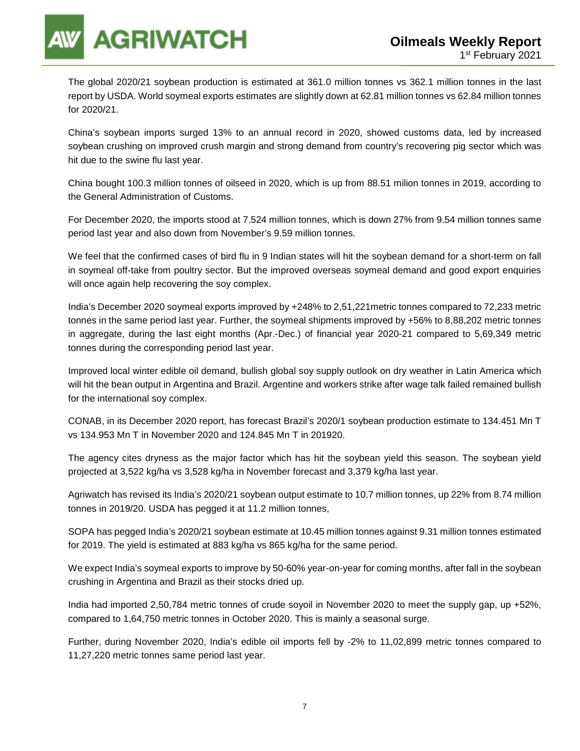

The global 2020/21 soybean production is estimated at 361.0 million tonnes vs 362.1 million tonnes in the last report by USDA. World soymeal exports estimates are slightly down at 62.81 million tonnes vs 62.84 million tonnes for 2020/21.

China's soybean imports surged 13% to an annual record in 2020, showed customs data, led by increased soybean crushing on improved crush margin and strong demand from country's recovering pig sector which was hit due to the swine flu last year.

China bought 100.3 million tonnes of oilseed in 2020, which is up from 88.51 milion tonnes in 2019, according to the General Administration of Customs.

For December 2020, the imports stood at 7.524 million tonnes, which is down 27% from 9.54 million tonnes same period last year and also down from November's 9.59 million tonnes.

We feel that the confirmed cases of bird flu in 9 Indian states will hit the soybean demand for a short-term on fall in soymeal off-take from poultry sector. But the improved overseas soymeal demand and good export enquiries will once again help recovering the soy complex.

India's December 2020 soymeal exports improved by +248% to 2,51,221metric tonnes compared to 72,233 metric tonnes in the same period last year. Further, the soymeal shipments improved by +56% to 8,88,202 metric tonnes in aggregate, during the last eight months (Apr.-Dec.) of financial year 2020-21 compared to 5,69,349 metric tonnes during the corresponding period last year.

Improved local winter edible oil demand, bullish global soy supply outlook on dry weather in Latin America which will hit the bean output in Argentina and Brazil. Argentine and workers strike after wage talk failed remained bullish for the international soy complex.

CONAB, in its December 2020 report, has forecast Brazil's 2020/1 soybean production estimate to 134.451 Mn T vs 134.953 Mn T in November 2020 and 124.845 Mn T in 201920.

The agency cites dryness as the major factor which has hit the soybean yield this season. The soybean yield projected at 3,522 kg/ha vs 3,528 kg/ha in November forecast and 3,379 kg/ha last year.

Agriwatch has revised its India's 2020/21 soybean output estimate to 10.7 million tonnes, up 22% from 8.74 million tonnes in 2019/20. USDA has pegged it at 11.2 million tonnes,

SOPA has pegged India's 2020/21 soybean estimate at 10.45 million tonnes against 9.31 million tonnes estimated for 2019. The yield is estimated at 883 kg/ha vs 865 kg/ha for the same period.

We expect India's soymeal exports to improve by 50-60% year-on-year for coming months, after fall in the soybean crushing in Argentina and Brazil as their stocks dried up.

India had imported 2,50,784 metric tonnes of crude soyoil in November 2020 to meet the supply gap, up +52%, compared to 1,64,750 metric tonnes in October 2020. This is mainly a seasonal surge.

Further, during November 2020, India's edible oil imports fell by -2% to 11,02,899 metric tonnes compared to 11,27,220 metric tonnes same period last year.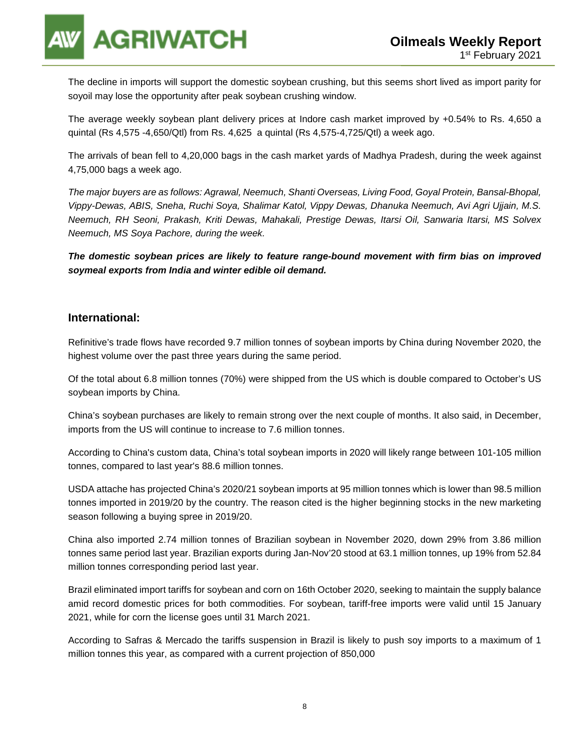

The decline in imports will support the domestic soybean crushing, but this seems short lived as import parity for soyoil may lose the opportunity after peak soybean crushing window.

The average weekly soybean plant delivery prices at Indore cash market improved by +0.54% to Rs. 4,650 a quintal (Rs 4,575 -4,650/Qtl) from Rs. 4,625 a quintal (Rs 4,575-4,725/Qtl) a week ago.

The arrivals of bean fell to 4,20,000 bags in the cash market yards of Madhya Pradesh, during the week against 4,75,000 bags a week ago.

The major buyers are as follows: Agrawal, Neemuch, Shanti Overseas, Living Food, Goyal Protein, Bansal-Bhopal, Vippy-Dewas, ABIS, Sneha, Ruchi Soya, Shalimar Katol, Vippy Dewas, Dhanuka Neemuch, Avi Agri Ujjain, M.S. Neemuch, RH Seoni, Prakash, Kriti Dewas, Mahakali, Prestige Dewas, Itarsi Oil, Sanwaria Itarsi, MS Solvex Neemuch, MS Soya Pachore, during the week.

**The domestic soybean prices are likely to feature range-bound movement with firm bias on improved soymeal exports from India and winter edible oil demand.** 

### **International:**

Refinitive's trade flows have recorded 9.7 million tonnes of soybean imports by China during November 2020, the highest volume over the past three years during the same period.

Of the total about 6.8 million tonnes (70%) were shipped from the US which is double compared to October's US soybean imports by China.

China's soybean purchases are likely to remain strong over the next couple of months. It also said, in December, imports from the US will continue to increase to 7.6 million tonnes.

According to China's custom data, China's total soybean imports in 2020 will likely range between 101-105 million tonnes, compared to last year's 88.6 million tonnes.

USDA attache has projected China's 2020/21 soybean imports at 95 million tonnes which is lower than 98.5 million tonnes imported in 2019/20 by the country. The reason cited is the higher beginning stocks in the new marketing season following a buying spree in 2019/20.

China also imported 2.74 million tonnes of Brazilian soybean in November 2020, down 29% from 3.86 million tonnes same period last year. Brazilian exports during Jan-Nov'20 stood at 63.1 million tonnes, up 19% from 52.84 million tonnes corresponding period last year.

Brazil eliminated import tariffs for soybean and corn on 16th October 2020, seeking to maintain the supply balance amid record domestic prices for both commodities. For soybean, tariff-free imports were valid until 15 January 2021, while for corn the license goes until 31 March 2021.

According to Safras & Mercado the tariffs suspension in Brazil is likely to push soy imports to a maximum of 1 million tonnes this year, as compared with a current projection of 850,000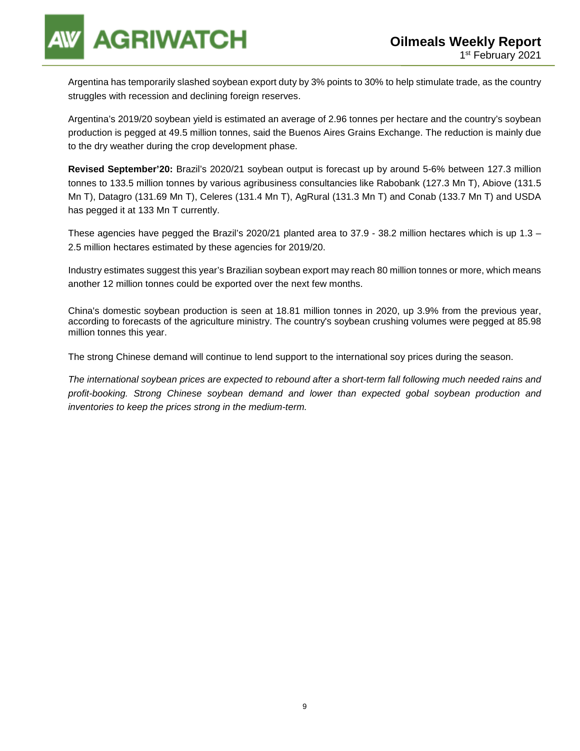Argentina has temporarily slashed soybean export duty by 3% points to 30% to help stimulate trade, as the country struggles with recession and declining foreign reserves.

Argentina's 2019/20 soybean yield is estimated an average of 2.96 tonnes per hectare and the country's soybean production is pegged at 49.5 million tonnes, said the Buenos Aires Grains Exchange. The reduction is mainly due to the dry weather during the crop development phase.

**Revised September'20:** Brazil's 2020/21 soybean output is forecast up by around 5-6% between 127.3 million tonnes to 133.5 million tonnes by various agribusiness consultancies like Rabobank (127.3 Mn T), Abiove (131.5 Mn T), Datagro (131.69 Mn T), Celeres (131.4 Mn T), AgRural (131.3 Mn T) and Conab (133.7 Mn T) and USDA has pegged it at 133 Mn T currently.

These agencies have pegged the Brazil's 2020/21 planted area to 37.9 - 38.2 million hectares which is up 1.3 – 2.5 million hectares estimated by these agencies for 2019/20.

Industry estimates suggest this year's Brazilian soybean export may reach 80 million tonnes or more, which means another 12 million tonnes could be exported over the next few months.

China's domestic soybean production is seen at 18.81 million tonnes in 2020, up 3.9% from the previous year, according to forecasts of the agriculture ministry. The country's soybean crushing volumes were pegged at 85.98 million tonnes this year.

The strong Chinese demand will continue to lend support to the international soy prices during the season.

The international soybean prices are expected to rebound after a short-term fall following much needed rains and profit-booking. Strong Chinese soybean demand and lower than expected gobal soybean production and inventories to keep the prices strong in the medium-term.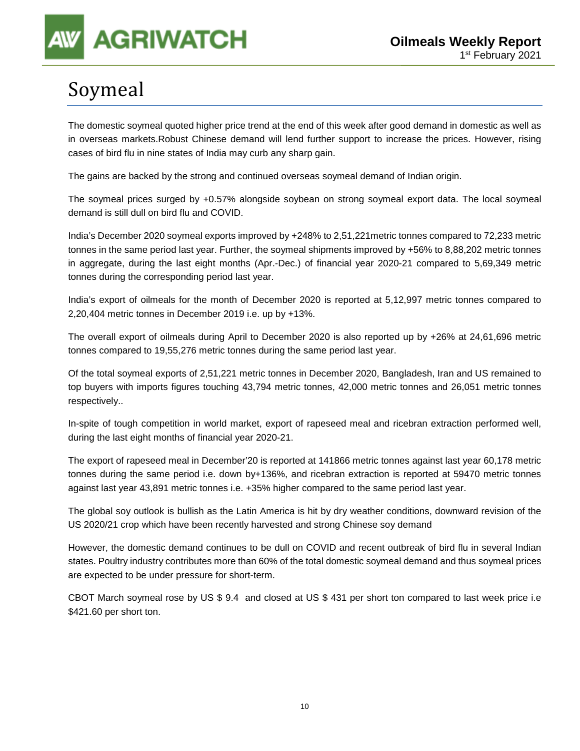# Soymeal

The domestic soymeal quoted higher price trend at the end of this week after good demand in domestic as well as in overseas markets.Robust Chinese demand will lend further support to increase the prices. However, rising cases of bird flu in nine states of India may curb any sharp gain.

The gains are backed by the strong and continued overseas soymeal demand of Indian origin.

The soymeal prices surged by +0.57% alongside soybean on strong soymeal export data. The local soymeal demand is still dull on bird flu and COVID.

India's December 2020 soymeal exports improved by +248% to 2,51,221metric tonnes compared to 72,233 metric tonnes in the same period last year. Further, the soymeal shipments improved by +56% to 8,88,202 metric tonnes in aggregate, during the last eight months (Apr.-Dec.) of financial year 2020-21 compared to 5,69,349 metric tonnes during the corresponding period last year.

India's export of oilmeals for the month of December 2020 is reported at 5,12,997 metric tonnes compared to 2,20,404 metric tonnes in December 2019 i.e. up by +13%.

The overall export of oilmeals during April to December 2020 is also reported up by +26% at 24,61,696 metric tonnes compared to 19,55,276 metric tonnes during the same period last year.

Of the total soymeal exports of 2,51,221 metric tonnes in December 2020, Bangladesh, Iran and US remained to top buyers with imports figures touching 43,794 metric tonnes, 42,000 metric tonnes and 26,051 metric tonnes respectively..

In-spite of tough competition in world market, export of rapeseed meal and ricebran extraction performed well, during the last eight months of financial year 2020-21.

The export of rapeseed meal in December'20 is reported at 141866 metric tonnes against last year 60,178 metric tonnes during the same period i.e. down by+136%, and ricebran extraction is reported at 59470 metric tonnes against last year 43,891 metric tonnes i.e. +35% higher compared to the same period last year.

The global soy outlook is bullish as the Latin America is hit by dry weather conditions, downward revision of the US 2020/21 crop which have been recently harvested and strong Chinese soy demand

However, the domestic demand continues to be dull on COVID and recent outbreak of bird flu in several Indian states. Poultry industry contributes more than 60% of the total domestic soymeal demand and thus soymeal prices are expected to be under pressure for short-term.

CBOT March soymeal rose by US \$ 9.4 and closed at US \$ 431 per short ton compared to last week price i.e \$421.60 per short ton.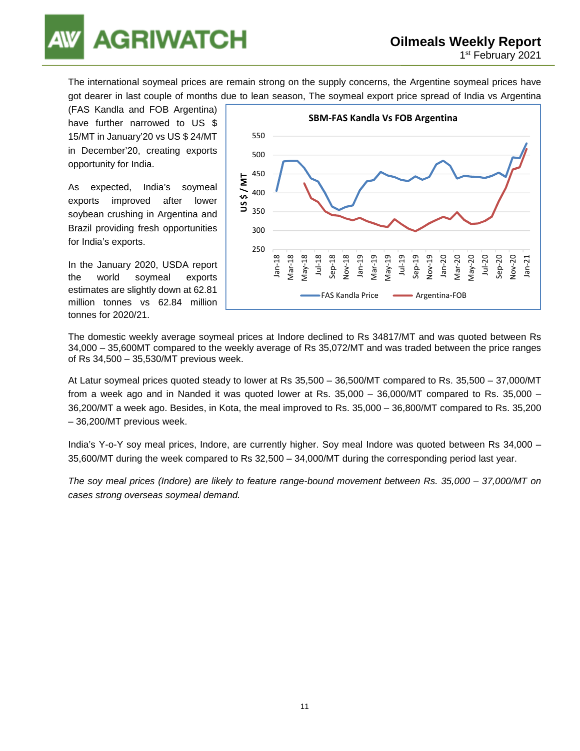

The international soymeal prices are remain strong on the supply concerns, the Argentine soymeal prices have got dearer in last couple of months due to lean season, The soymeal export price spread of India vs Argentina

(FAS Kandla and FOB Argentina) have further narrowed to US \$ 15/MT in January'20 vs US \$ 24/MT in December'20, creating exports opportunity for India.

As expected, India's soymeal exports improved after lower soybean crushing in Argentina and Brazil providing fresh opportunities for India's exports.

In the January 2020, USDA report the world soymeal exports estimates are slightly down at 62.81 million tonnes vs 62.84 million tonnes for 2020/21.



The domestic weekly average soymeal prices at Indore declined to Rs 34817/MT and was quoted between Rs 34,000 – 35,600MT compared to the weekly average of Rs 35,072/MT and was traded between the price ranges of Rs 34,500 – 35,530/MT previous week.

At Latur soymeal prices quoted steady to lower at Rs 35,500 – 36,500/MT compared to Rs. 35,500 – 37,000/MT from a week ago and in Nanded it was quoted lower at Rs. 35,000 – 36,000/MT compared to Rs. 35,000 – 36,200/MT a week ago. Besides, in Kota, the meal improved to Rs. 35,000 – 36,800/MT compared to Rs. 35,200 – 36,200/MT previous week.

India's Y-o-Y soy meal prices, Indore, are currently higher. Soy meal Indore was quoted between Rs 34,000 – 35,600/MT during the week compared to Rs 32,500 – 34,000/MT during the corresponding period last year.

The soy meal prices (Indore) are likely to feature range-bound movement between Rs. 35,000 – 37,000/MT on cases strong overseas soymeal demand.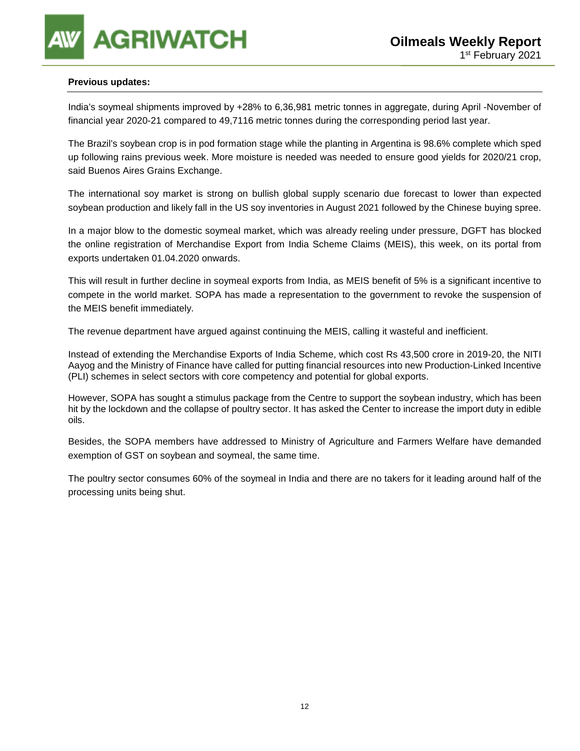#### **Previous updates:**

India's soymeal shipments improved by +28% to 6,36,981 metric tonnes in aggregate, during April -November of financial year 2020-21 compared to 49,7116 metric tonnes during the corresponding period last year.

The Brazil's soybean crop is in pod formation stage while the planting in Argentina is 98.6% complete which sped up following rains previous week. More moisture is needed was needed to ensure good yields for 2020/21 crop, said Buenos Aires Grains Exchange.

The international soy market is strong on bullish global supply scenario due forecast to lower than expected soybean production and likely fall in the US soy inventories in August 2021 followed by the Chinese buying spree.

In a major blow to the domestic soymeal market, which was already reeling under pressure, DGFT has blocked the online registration of Merchandise Export from India Scheme Claims (MEIS), this week, on its portal from exports undertaken 01.04.2020 onwards.

This will result in further decline in soymeal exports from India, as MEIS benefit of 5% is a significant incentive to compete in the world market. SOPA has made a representation to the government to revoke the suspension of the MEIS benefit immediately.

The revenue department have argued against continuing the MEIS, calling it wasteful and inefficient.

Instead of extending the Merchandise Exports of India Scheme, which cost Rs 43,500 crore in 2019-20, the NITI Aayog and the Ministry of Finance have called for putting financial resources into new Production-Linked Incentive (PLI) schemes in select sectors with core competency and potential for global exports.

However, SOPA has sought a stimulus package from the Centre to support the soybean industry, which has been hit by the lockdown and the collapse of poultry sector. It has asked the Center to increase the import duty in edible oils.

Besides, the SOPA members have addressed to Ministry of Agriculture and Farmers Welfare have demanded exemption of GST on soybean and soymeal, the same time.

The poultry sector consumes 60% of the soymeal in India and there are no takers for it leading around half of the processing units being shut.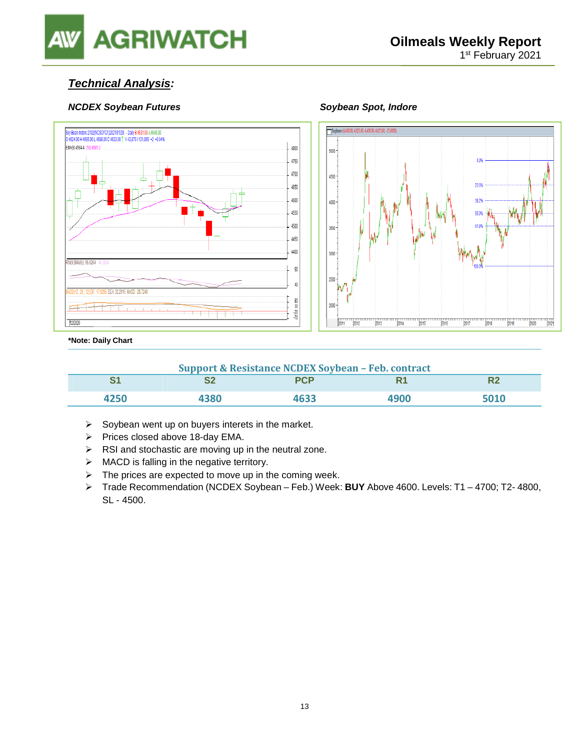

### **Technical Analysis:**

#### **NCDEX Soybean Futures Soybean Spot, Indore Soybean Spot, Indore**





#### **\*Note: Daily Chart**

| <b>Support &amp; Resistance NCDEX Soybean - Feb. contract</b> |      |            |      |      |  |  |
|---------------------------------------------------------------|------|------------|------|------|--|--|
|                                                               |      | <b>PCP</b> |      |      |  |  |
| 4250                                                          | 4380 | 4633       | 4900 | 5010 |  |  |

- $\triangleright$  Soybean went up on buyers interets in the market.
- $\triangleright$  Prices closed above 18-day EMA.
- $\triangleright$  RSI and stochastic are moving up in the neutral zone.
- $\triangleright$  MACD is falling in the negative territory.
- $\triangleright$  The prices are expected to move up in the coming week.
- Trade Recommendation (NCDEX Soybean Feb.) Week: **BUY** Above 4600. Levels: T1 4700; T2- 4800, SL - 4500.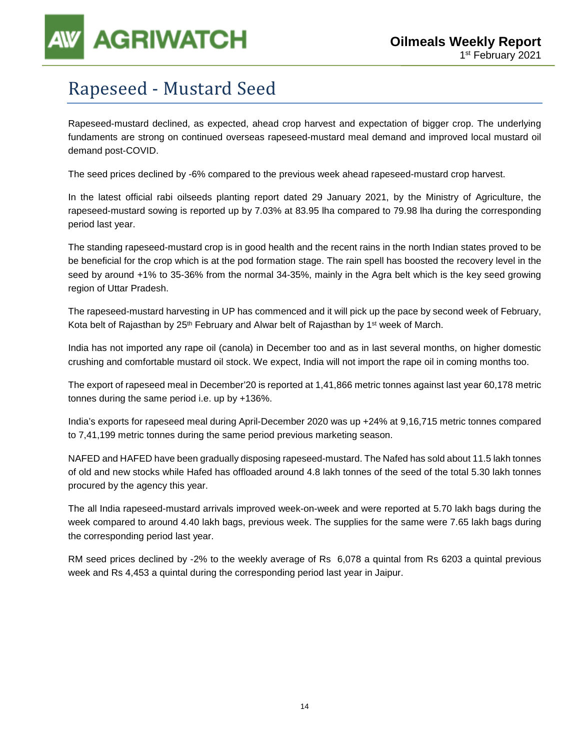## Rapeseed - Mustard Seed

Rapeseed-mustard declined, as expected, ahead crop harvest and expectation of bigger crop. The underlying fundaments are strong on continued overseas rapeseed-mustard meal demand and improved local mustard oil demand post-COVID.

The seed prices declined by -6% compared to the previous week ahead rapeseed-mustard crop harvest.

In the latest official rabi oilseeds planting report dated 29 January 2021, by the Ministry of Agriculture, the rapeseed-mustard sowing is reported up by 7.03% at 83.95 lha compared to 79.98 lha during the corresponding period last year.

The standing rapeseed-mustard crop is in good health and the recent rains in the north Indian states proved to be be beneficial for the crop which is at the pod formation stage. The rain spell has boosted the recovery level in the seed by around +1% to 35-36% from the normal 34-35%, mainly in the Agra belt which is the key seed growing region of Uttar Pradesh.

The rapeseed-mustard harvesting in UP has commenced and it will pick up the pace by second week of February, Kota belt of Rajasthan by  $25<sup>th</sup>$  February and Alwar belt of Rajasthan by 1<sup>st</sup> week of March.

India has not imported any rape oil (canola) in December too and as in last several months, on higher domestic crushing and comfortable mustard oil stock. We expect, India will not import the rape oil in coming months too.

The export of rapeseed meal in December'20 is reported at 1,41,866 metric tonnes against last year 60,178 metric tonnes during the same period i.e. up by +136%.

India's exports for rapeseed meal during April-December 2020 was up +24% at 9,16,715 metric tonnes compared to 7,41,199 metric tonnes during the same period previous marketing season.

NAFED and HAFED have been gradually disposing rapeseed-mustard. The Nafed has sold about 11.5 lakh tonnes of old and new stocks while Hafed has offloaded around 4.8 lakh tonnes of the seed of the total 5.30 lakh tonnes procured by the agency this year.

The all India rapeseed-mustard arrivals improved week-on-week and were reported at 5.70 lakh bags during the week compared to around 4.40 lakh bags, previous week. The supplies for the same were 7.65 lakh bags during the corresponding period last year.

RM seed prices declined by -2% to the weekly average of Rs 6,078 a quintal from Rs 6203 a quintal previous week and Rs 4,453 a quintal during the corresponding period last year in Jaipur.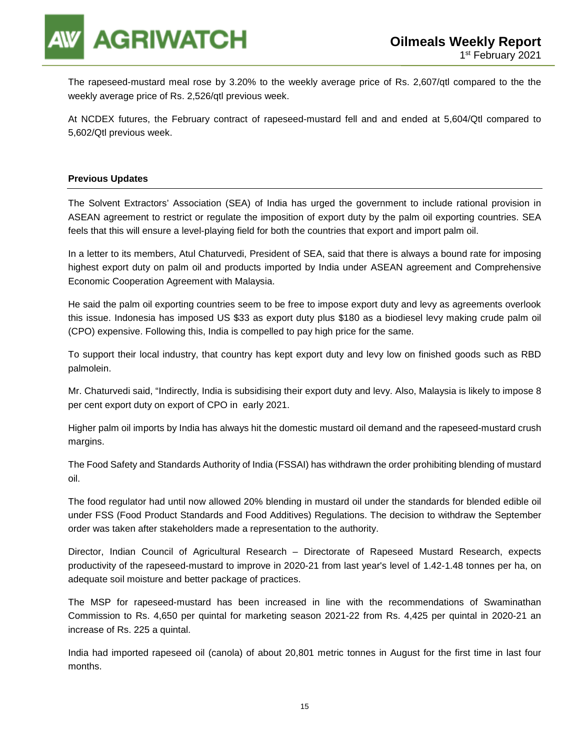

The rapeseed-mustard meal rose by 3.20% to the weekly average price of Rs. 2,607/qtl compared to the the weekly average price of Rs. 2,526/qtl previous week.

At NCDEX futures, the February contract of rapeseed-mustard fell and and ended at 5,604/Qtl compared to 5,602/Qtl previous week.

#### **Previous Updates**

The Solvent Extractors' Association (SEA) of India has urged the government to include rational provision in ASEAN agreement to restrict or regulate the imposition of export duty by the palm oil exporting countries. SEA feels that this will ensure a level-playing field for both the countries that export and import palm oil.

In a letter to its members, Atul Chaturvedi, President of SEA, said that there is always a bound rate for imposing highest export duty on palm oil and products imported by India under ASEAN agreement and Comprehensive Economic Cooperation Agreement with Malaysia.

He said the palm oil exporting countries seem to be free to impose export duty and levy as agreements overlook this issue. Indonesia has imposed US \$33 as export duty plus \$180 as a biodiesel levy making crude palm oil (CPO) expensive. Following this, India is compelled to pay high price for the same.

To support their local industry, that country has kept export duty and levy low on finished goods such as RBD palmolein.

Mr. Chaturvedi said, "Indirectly, India is subsidising their export duty and levy. Also, Malaysia is likely to impose 8 per cent export duty on export of CPO in early 2021.

Higher palm oil imports by India has always hit the domestic mustard oil demand and the rapeseed-mustard crush margins.

The Food Safety and Standards Authority of India (FSSAI) has withdrawn the order prohibiting blending of mustard oil.

The food regulator had until now allowed 20% blending in mustard oil under the standards for blended edible oil under FSS (Food Product Standards and Food Additives) Regulations. The decision to withdraw the September order was taken after stakeholders made a representation to the authority.

Director, Indian Council of Agricultural Research – Directorate of Rapeseed Mustard Research, expects productivity of the rapeseed-mustard to improve in 2020-21 from last year's level of 1.42-1.48 tonnes per ha, on adequate soil moisture and better package of practices.

The MSP for rapeseed-mustard has been increased in line with the recommendations of Swaminathan Commission to Rs. 4,650 per quintal for marketing season 2021-22 from Rs. 4,425 per quintal in 2020-21 an increase of Rs. 225 a quintal.

India had imported rapeseed oil (canola) of about 20,801 metric tonnes in August for the first time in last four months.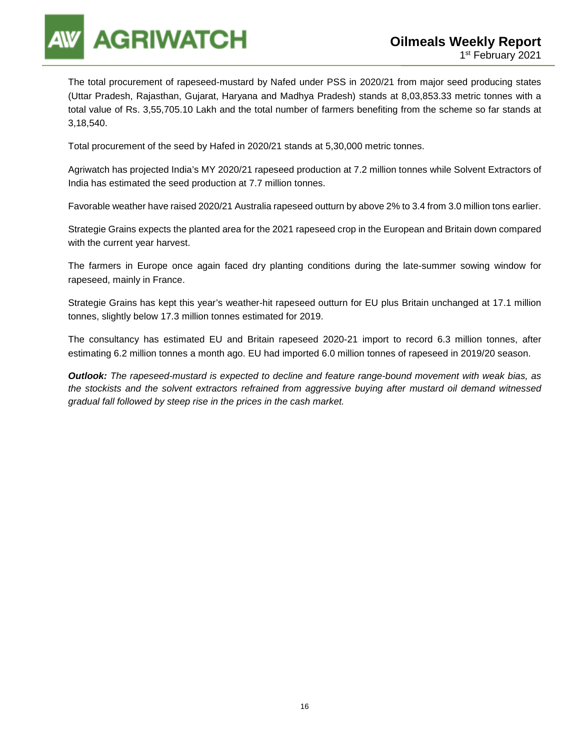The total procurement of rapeseed-mustard by Nafed under PSS in 2020/21 from major seed producing states (Uttar Pradesh, Rajasthan, Gujarat, Haryana and Madhya Pradesh) stands at 8,03,853.33 metric tonnes with a total value of Rs. 3,55,705.10 Lakh and the total number of farmers benefiting from the scheme so far stands at 3,18,540.

Total procurement of the seed by Hafed in 2020/21 stands at 5,30,000 metric tonnes.

Agriwatch has projected India's MY 2020/21 rapeseed production at 7.2 million tonnes while Solvent Extractors of India has estimated the seed production at 7.7 million tonnes.

Favorable weather have raised 2020/21 Australia rapeseed outturn by above 2% to 3.4 from 3.0 million tons earlier.

Strategie Grains expects the planted area for the 2021 rapeseed crop in the European and Britain down compared with the current year harvest.

The farmers in Europe once again faced dry planting conditions during the late-summer sowing window for rapeseed, mainly in France.

Strategie Grains has kept this year's weather-hit rapeseed outturn for EU plus Britain unchanged at 17.1 million tonnes, slightly below 17.3 million tonnes estimated for 2019.

The consultancy has estimated EU and Britain rapeseed 2020-21 import to record 6.3 million tonnes, after estimating 6.2 million tonnes a month ago. EU had imported 6.0 million tonnes of rapeseed in 2019/20 season.

**Outlook:** The rapeseed-mustard is expected to decline and feature range-bound movement with weak bias, as the stockists and the solvent extractors refrained from aggressive buying after mustard oil demand witnessed gradual fall followed by steep rise in the prices in the cash market.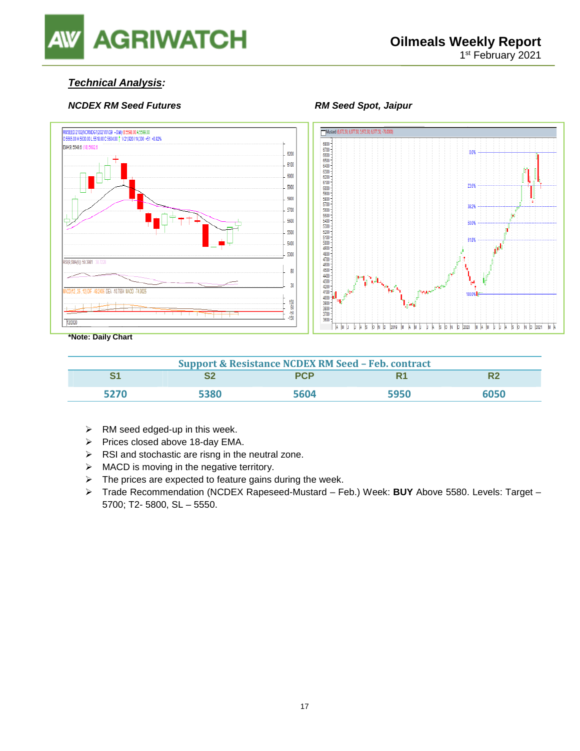

### **Technical Analysis:**

#### **NCDEX RM Seed Futures All research RM Seed Spot, Jaipur**





**\*Note: Daily Chart** 

| <b>Support &amp; Resistance NCDEX RM Seed - Feb. contract</b> |      |            |      |      |  |
|---------------------------------------------------------------|------|------------|------|------|--|
|                                                               |      | <b>PCP</b> | R1   |      |  |
| 5270                                                          | 5380 | 5604       | 5950 | 6050 |  |

- $\triangleright$  RM seed edged-up in this week.
- $\triangleright$  Prices closed above 18-day EMA.
- $\triangleright$  RSI and stochastic are risng in the neutral zone.
- $\triangleright$  MACD is moving in the negative territory.
- $\triangleright$  The prices are expected to feature gains during the week.
- Trade Recommendation (NCDEX Rapeseed-Mustard Feb.) Week: **BUY** Above 5580. Levels: Target 5700; T2- 5800, SL – 5550.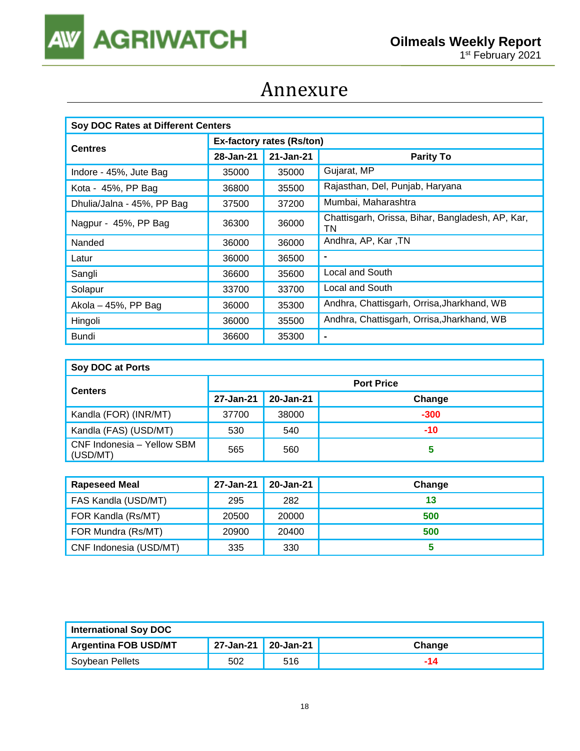

## Annexure

| Soy DOC Rates at Different Centers |                           |           |                                                        |  |  |
|------------------------------------|---------------------------|-----------|--------------------------------------------------------|--|--|
|                                    | Ex-factory rates (Rs/ton) |           |                                                        |  |  |
| <b>Centres</b>                     | 28-Jan-21                 | 21-Jan-21 | <b>Parity To</b>                                       |  |  |
| Indore - 45%, Jute Bag             | 35000                     | 35000     | Gujarat, MP                                            |  |  |
| Kota - 45%, PP Bag                 | 36800                     | 35500     | Rajasthan, Del, Punjab, Haryana                        |  |  |
| Dhulia/Jalna - 45%, PP Bag         | 37500                     | 37200     | Mumbai, Maharashtra                                    |  |  |
| Nagpur - 45%, PP Bag               | 36300                     | 36000     | Chattisgarh, Orissa, Bihar, Bangladesh, AP, Kar,<br>TN |  |  |
| Nanded                             | 36000                     | 36000     | Andhra, AP, Kar, TN                                    |  |  |
| Latur                              | 36000                     | 36500     | $\blacksquare$                                         |  |  |
| Sangli                             | 36600                     | 35600     | Local and South                                        |  |  |
| Solapur                            | 33700                     | 33700     | Local and South                                        |  |  |
| Akola $-45%$ , PP Bag              | 36000                     | 35300     | Andhra, Chattisgarh, Orrisa, Jharkhand, WB             |  |  |
| Hingoli                            | 36000                     | 35500     | Andhra, Chattisgarh, Orrisa, Jharkhand, WB             |  |  |
| Bundi                              | 36600                     | 35300     | $\blacksquare$                                         |  |  |

| Soy DOC at Ports                       |                   |           |        |  |  |
|----------------------------------------|-------------------|-----------|--------|--|--|
| <b>Centers</b>                         | <b>Port Price</b> |           |        |  |  |
|                                        | 27-Jan-21         | 20-Jan-21 | Change |  |  |
| Kandla (FOR) (INR/MT)                  | 37700             | 38000     | $-300$ |  |  |
| Kandla (FAS) (USD/MT)                  | 530               | 540       | $-10$  |  |  |
| CNF Indonesia - Yellow SBM<br>(USD/MT) | 565               | 560       | 5      |  |  |

| <b>Rapeseed Meal</b>   | 27-Jan-21 | 20-Jan-21 | Change |
|------------------------|-----------|-----------|--------|
| FAS Kandla (USD/MT)    | 295       | 282       | 13     |
| FOR Kandla (Rs/MT)     | 20500     | 20000     | 500    |
| FOR Mundra (Rs/MT)     | 20900     | 20400     | 500    |
| CNF Indonesia (USD/MT) | 335       | 330       |        |

| <b>International Soy DOC</b> |                     |     |        |
|------------------------------|---------------------|-----|--------|
| <b>Argentina FOB USD/MT</b>  | 27-Jan-21 20-Jan-21 |     | Change |
| Soybean Pellets              | 502                 | 516 |        |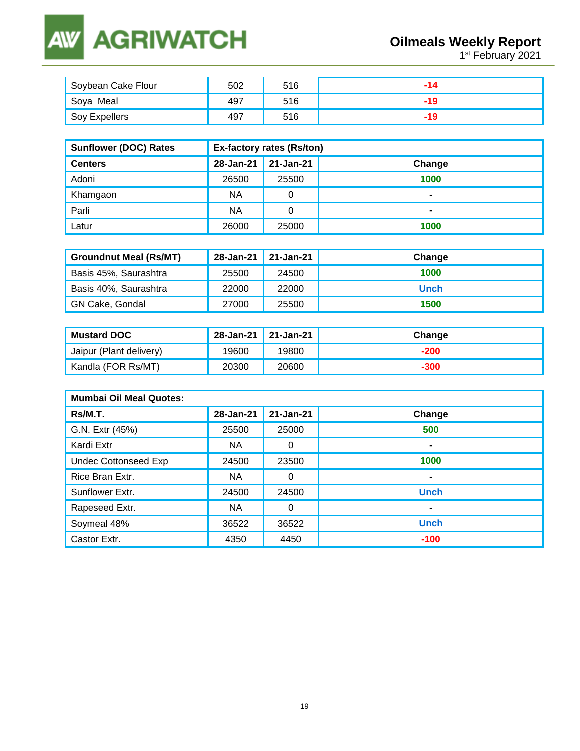### **AGRIWATCH AW**

**1st February 2021** 

| Soybean Cake Flour | 502 | 516 |  |
|--------------------|-----|-----|--|
| Soya Meal          | 497 | 516 |  |
| Soy Expellers      | 497 | 516 |  |

| <b>Sunflower (DOC) Rates</b> | <b>Ex-factory rates (Rs/ton)</b> |           |        |  |
|------------------------------|----------------------------------|-----------|--------|--|
| <b>Centers</b>               | 28-Jan-21                        | 21-Jan-21 | Change |  |
| Adoni                        | 26500                            | 25500     | 1000   |  |
| Khamgaon                     | <b>NA</b>                        | 0         |        |  |
| Parli                        | <b>NA</b>                        |           |        |  |
| Latur                        | 26000                            | 25000     | 1000   |  |

| <b>Groundnut Meal (Rs/MT)</b> |       | 28-Jan-21 21-Jan-21 | Change |
|-------------------------------|-------|---------------------|--------|
| Basis 45%, Saurashtra         | 25500 | 24500               | 1000   |
| Basis 40%, Saurashtra         | 22000 | 22000               | Unch   |
| GN Cake, Gondal               | 27000 | 25500               | 1500   |

| <b>Mustard DOC</b>      | 28-Jan-21 21-Jan-21 |       | Change |
|-------------------------|---------------------|-------|--------|
| Jaipur (Plant delivery) | 19600               | 19800 | $-200$ |
| Kandla (FOR Rs/MT)      | 20300               | 20600 | -300   |

| <b>Mumbai Oil Meal Quotes:</b> |           |           |             |  |  |
|--------------------------------|-----------|-----------|-------------|--|--|
| Rs/M.T.                        | 28-Jan-21 | 21-Jan-21 | Change      |  |  |
| G.N. Extr (45%)                | 25500     | 25000     | 500         |  |  |
| Kardi Extr                     | <b>NA</b> | 0         | -           |  |  |
| <b>Undec Cottonseed Exp</b>    | 24500     | 23500     | 1000        |  |  |
| Rice Bran Extr.                | <b>NA</b> | 0         | -           |  |  |
| Sunflower Extr.                | 24500     | 24500     | <b>Unch</b> |  |  |
| Rapeseed Extr.                 | NA        | 0         | -           |  |  |
| Soymeal 48%                    | 36522     | 36522     | <b>Unch</b> |  |  |
| Castor Extr.                   | 4350      | 4450      | $-100$      |  |  |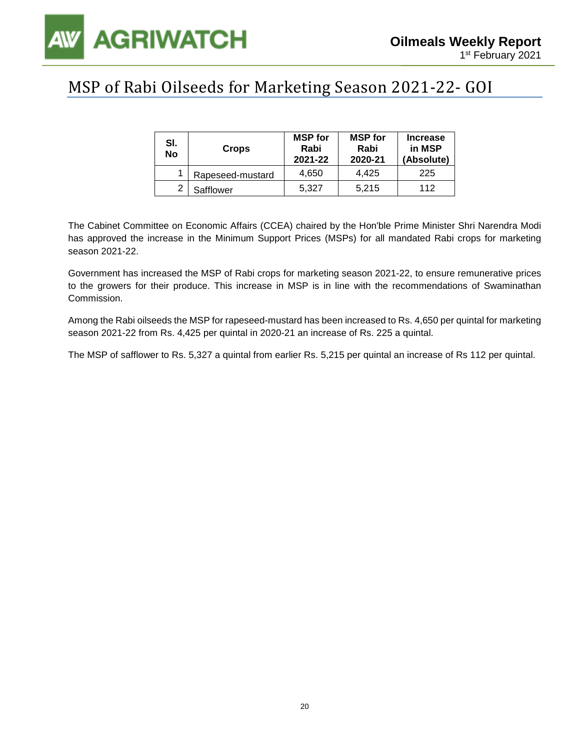

## MSP of Rabi Oilseeds for Marketing Season 2021-22- GOI

| SI.<br>No | <b>Crops</b>     | <b>MSP</b> for<br>Rabi<br>2021-22 | <b>MSP</b> for<br>Rabi<br>2020-21 | <b>Increase</b><br>in MSP<br>(Absolute) |
|-----------|------------------|-----------------------------------|-----------------------------------|-----------------------------------------|
|           | Rapeseed-mustard | 4,650                             | 4.425                             | 225                                     |
| っ         | Safflower        | 5.327                             | 5,215                             | 112                                     |

The Cabinet Committee on Economic Affairs (CCEA) chaired by the Hon'ble Prime Minister Shri Narendra Modi has approved the increase in the Minimum Support Prices (MSPs) for all mandated Rabi crops for marketing season 2021-22.

Government has increased the MSP of Rabi crops for marketing season 2021-22, to ensure remunerative prices to the growers for their produce. This increase in MSP is in line with the recommendations of Swaminathan Commission.

Among the Rabi oilseeds the MSP for rapeseed-mustard has been increased to Rs. 4,650 per quintal for marketing season 2021-22 from Rs. 4,425 per quintal in 2020-21 an increase of Rs. 225 a quintal.

The MSP of safflower to Rs. 5,327 a quintal from earlier Rs. 5,215 per quintal an increase of Rs 112 per quintal.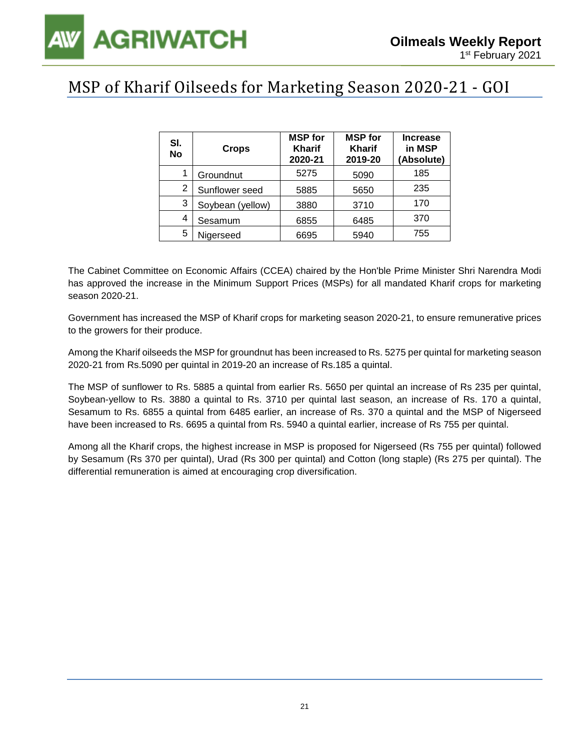## MSP of Kharif Oilseeds for Marketing Season 2020-21 - GOI

| SI.<br><b>No</b> | <b>Crops</b>     | <b>MSP</b> for<br><b>Kharif</b><br>2020-21 | <b>MSP</b> for<br><b>Kharif</b><br>2019-20 | <b>Increase</b><br>in MSP<br>(Absolute) |
|------------------|------------------|--------------------------------------------|--------------------------------------------|-----------------------------------------|
|                  | Groundnut        | 5275                                       | 5090                                       | 185                                     |
| 2                | Sunflower seed   | 5885                                       | 5650                                       | 235                                     |
| 3                | Soybean (yellow) | 3880                                       | 3710                                       | 170                                     |
| 4                | Sesamum          | 6855                                       | 6485                                       | 370                                     |
| 5                | Nigerseed        | 6695                                       | 5940                                       | 755                                     |

The Cabinet Committee on Economic Affairs (CCEA) chaired by the Hon'ble Prime Minister Shri Narendra Modi has approved the increase in the Minimum Support Prices (MSPs) for all mandated Kharif crops for marketing season 2020-21.

Government has increased the MSP of Kharif crops for marketing season 2020-21, to ensure remunerative prices to the growers for their produce.

Among the Kharif oilseeds the MSP for groundnut has been increased to Rs. 5275 per quintal for marketing season 2020-21 from Rs.5090 per quintal in 2019-20 an increase of Rs.185 a quintal.

The MSP of sunflower to Rs. 5885 a quintal from earlier Rs. 5650 per quintal an increase of Rs 235 per quintal, Soybean-yellow to Rs. 3880 a quintal to Rs. 3710 per quintal last season, an increase of Rs. 170 a quintal, Sesamum to Rs. 6855 a quintal from 6485 earlier, an increase of Rs. 370 a quintal and the MSP of Nigerseed have been increased to Rs. 6695 a quintal from Rs. 5940 a quintal earlier, increase of Rs 755 per quintal.

Among all the Kharif crops, the highest increase in MSP is proposed for Nigerseed (Rs 755 per quintal) followed by Sesamum (Rs 370 per quintal), Urad (Rs 300 per quintal) and Cotton (long staple) (Rs 275 per quintal). The differential remuneration is aimed at encouraging crop diversification.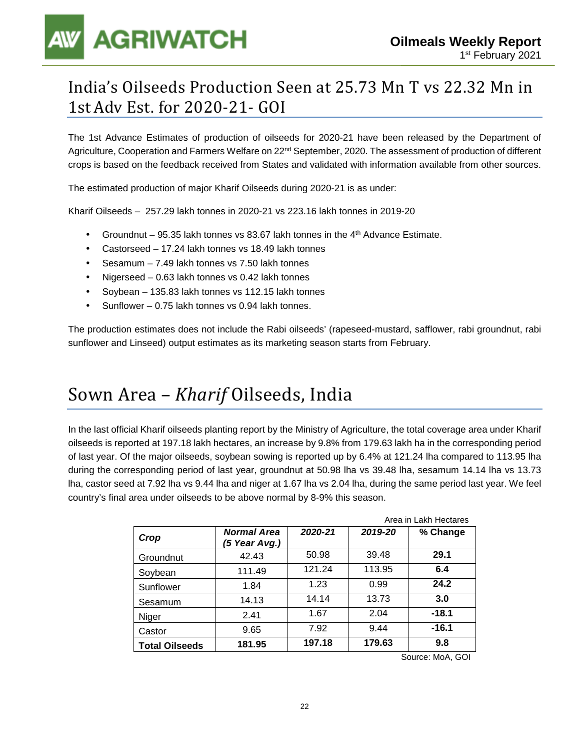## India's Oilseeds Production Seen at 25.73 Mn T vs 22.32 Mn in 1st Adv Est. for 2020-21- GOI

The 1st Advance Estimates of production of oilseeds for 2020-21 have been released by the Department of Agriculture, Cooperation and Farmers Welfare on 22<sup>nd</sup> September, 2020. The assessment of production of different crops is based on the feedback received from States and validated with information available from other sources.

The estimated production of major Kharif Oilseeds during 2020-21 is as under:

Kharif Oilseeds – 257.29 lakh tonnes in 2020-21 vs 223.16 lakh tonnes in 2019-20

- Groundnut 95.35 lakh tonnes vs 83.67 lakh tonnes in the  $4<sup>th</sup>$  Advance Estimate.
- Castorseed 17.24 lakh tonnes vs 18.49 lakh tonnes
- Sesamum 7.49 lakh tonnes vs 7.50 lakh tonnes
- Nigerseed 0.63 lakh tonnes vs 0.42 lakh tonnes
- Soybean 135.83 lakh tonnes vs 112.15 lakh tonnes
- Sunflower 0.75 lakh tonnes vs 0.94 lakh tonnes.

The production estimates does not include the Rabi oilseeds' (rapeseed-mustard, safflower, rabi groundnut, rabi sunflower and Linseed) output estimates as its marketing season starts from February.

## Sown Area – *Kharif* Oilseeds, India

In the last official Kharif oilseeds planting report by the Ministry of Agriculture, the total coverage area under Kharif oilseeds is reported at 197.18 lakh hectares, an increase by 9.8% from 179.63 lakh ha in the corresponding period of last year. Of the major oilseeds, soybean sowing is reported up by 6.4% at 121.24 lha compared to 113.95 lha during the corresponding period of last year, groundnut at 50.98 lha vs 39.48 lha, sesamum 14.14 lha vs 13.73 lha, castor seed at 7.92 lha vs 9.44 lha and niger at 1.67 lha vs 2.04 lha, during the same period last year. We feel country's final area under oilseeds to be above normal by 8-9% this season.

|                       |                              |         |         | Area in Lakh Hectares |
|-----------------------|------------------------------|---------|---------|-----------------------|
| Crop                  | Normal Area<br>(5 Year Avg.) | 2020-21 | 2019-20 | % Change              |
| Groundnut             | 42.43                        | 50.98   | 39.48   | 29.1                  |
| Soybean               | 111.49                       | 121.24  | 113.95  | 6.4                   |
| Sunflower             | 1.84                         | 1.23    | 0.99    | 24.2                  |
| Sesamum               | 14.13                        | 14.14   | 13.73   | 3.0                   |
| Niger                 | 2.41                         | 1.67    | 2.04    | $-18.1$               |
| Castor                | 9.65                         | 7.92    | 9.44    | $-16.1$               |
| <b>Total Oilseeds</b> | 181.95                       | 197.18  | 179.63  | 9.8                   |

Source: MoA, GOI